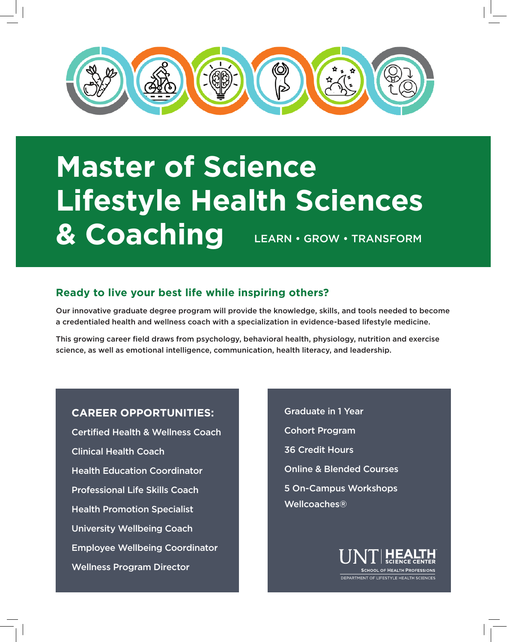

# **Master of Science Lifestyle Health Sciences & Coaching** LEARN · GROW • TRANSFORM

#### **Ready to live your best life while inspiring others?**

Our innovative graduate degree program will provide the knowledge, skills, and tools needed to become a credentialed health and wellness coach with a specialization in evidence-based lifestyle medicine.

This growing career field draws from psychology, behavioral health, physiology, nutrition and exercise science, as well as emotional intelligence, communication, health literacy, and leadership.

#### **CAREER OPPORTUNITIES:**

Certified Health & Wellness Coach Clinical Health Coach Health Education Coordinator Professional Life Skills Coach Health Promotion Specialist University Wellbeing Coach Employee Wellbeing Coordinator Wellness Program Director

Graduate in 1 Year Cohort Program 36 Credit Hours Online & Blended Courses 5 On-Campus Workshops Wellcoaches®